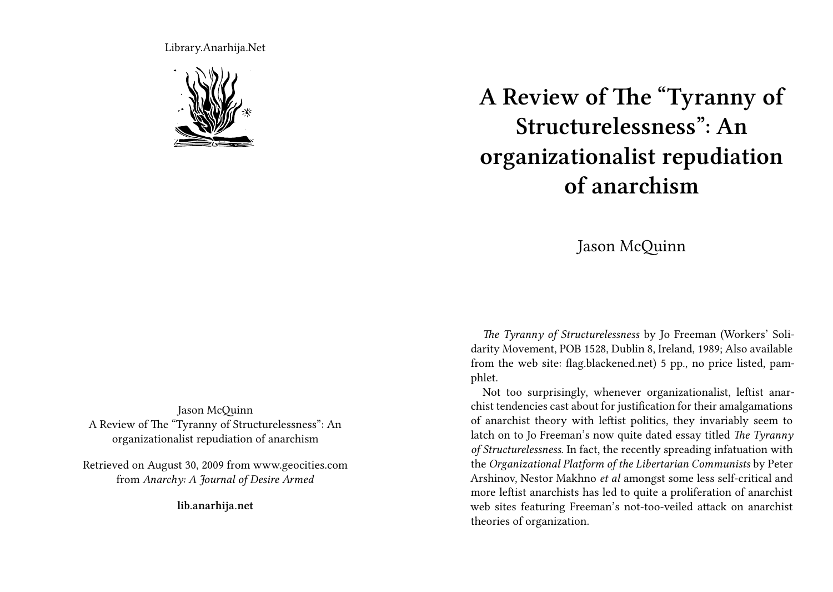Library.Anarhija.Net



**A Review of The "Tyranny of Structurelessness": An organizationalist repudiation of anarchism**

## Jason McQuinn

*The Tyranny of Structurelessness* by Jo Freeman (Workers' Solidarity Movement, POB 1528, Dublin 8, Ireland, 1989; Also available from the web site: flag.blackened.net) 5 pp., no price listed, pamphlet.

Not too surprisingly, whenever organizationalist, leftist anarchist tendencies cast about for justification for their amalgamations of anarchist theory with leftist politics, they invariably seem to latch on to Jo Freeman's now quite dated essay titled *The Tyranny of Structurelessness*. In fact, the recently spreading infatuation with the *Organizational Platform of the Libertarian Communists* by Peter Arshinov, Nestor Makhno *et al* amongst some less self-critical and more leftist anarchists has led to quite a proliferation of anarchist web sites featuring Freeman's not-too-veiled attack on anarchist theories of organization.

Jason McQuinn A Review of The "Tyranny of Structurelessness": An organizationalist repudiation of anarchism

Retrieved on August 30, 2009 from www.geocities.com from *Anarchy: A Journal of Desire Armed*

**lib.anarhija.net**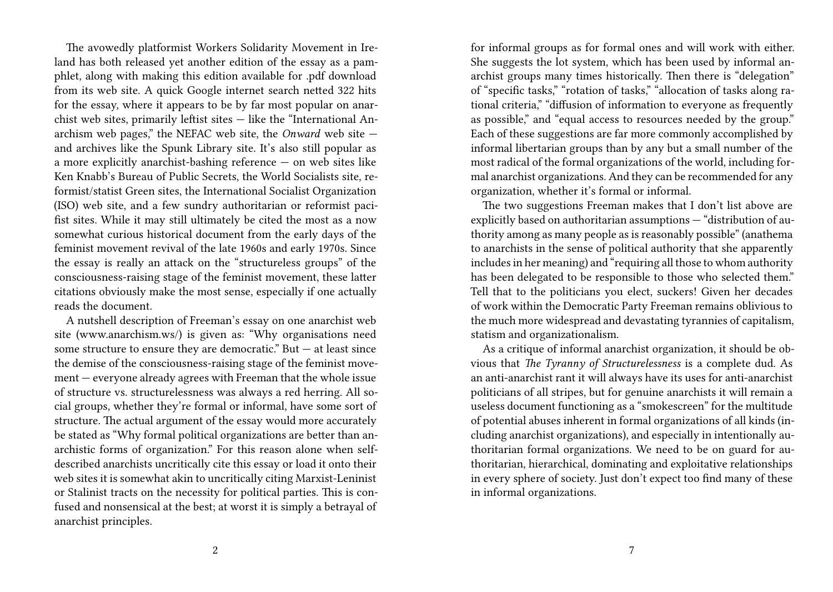The avowedly platformist Workers Solidarity Movement in Ireland has both released yet another edition of the essay as a pamphlet, along with making this edition available for .pdf download from its web site. A quick Google internet search netted 322 hits for the essay, where it appears to be by far most popular on anarchist web sites, primarily leftist sites — like the "International Anarchism web pages," the NEFAC web site, the *Onward* web site and archives like the Spunk Library site. It's also still popular as a more explicitly anarchist-bashing reference — on web sites like Ken Knabb's Bureau of Public Secrets, the World Socialists site, reformist/statist Green sites, the International Socialist Organization (ISO) web site, and a few sundry authoritarian or reformist pacifist sites. While it may still ultimately be cited the most as a now somewhat curious historical document from the early days of the feminist movement revival of the late 1960s and early 1970s. Since the essay is really an attack on the "structureless groups" of the consciousness-raising stage of the feminist movement, these latter citations obviously make the most sense, especially if one actually reads the document.

A nutshell description of Freeman's essay on one anarchist web site (www.anarchism.ws/) is given as: "Why organisations need some structure to ensure they are democratic." But  $-$  at least since the demise of the consciousness-raising stage of the feminist movement — everyone already agrees with Freeman that the whole issue of structure vs. structurelessness was always a red herring. All social groups, whether they're formal or informal, have some sort of structure. The actual argument of the essay would more accurately be stated as "Why formal political organizations are better than anarchistic forms of organization." For this reason alone when selfdescribed anarchists uncritically cite this essay or load it onto their web sites it is somewhat akin to uncritically citing Marxist-Leninist or Stalinist tracts on the necessity for political parties. This is confused and nonsensical at the best; at worst it is simply a betrayal of anarchist principles.

for informal groups as for formal ones and will work with either. She suggests the lot system, which has been used by informal anarchist groups many times historically. Then there is "delegation" of "specific tasks," "rotation of tasks," "allocation of tasks along rational criteria," "diffusion of information to everyone as frequently as possible," and "equal access to resources needed by the group." Each of these suggestions are far more commonly accomplished by informal libertarian groups than by any but a small number of the most radical of the formal organizations of the world, including formal anarchist organizations. And they can be recommended for any organization, whether it's formal or informal.

The two suggestions Freeman makes that I don't list above are explicitly based on authoritarian assumptions — "distribution of authority among as many people as is reasonably possible" (anathema to anarchists in the sense of political authority that she apparently includes in her meaning) and "requiring all those to whom authority has been delegated to be responsible to those who selected them." Tell that to the politicians you elect, suckers! Given her decades of work within the Democratic Party Freeman remains oblivious to the much more widespread and devastating tyrannies of capitalism, statism and organizationalism.

As a critique of informal anarchist organization, it should be obvious that *The Tyranny of Structurelessness* is a complete dud. As an anti-anarchist rant it will always have its uses for anti-anarchist politicians of all stripes, but for genuine anarchists it will remain a useless document functioning as a "smokescreen" for the multitude of potential abuses inherent in formal organizations of all kinds (including anarchist organizations), and especially in intentionally authoritarian formal organizations. We need to be on guard for authoritarian, hierarchical, dominating and exploitative relationships in every sphere of society. Just don't expect too find many of these in informal organizations.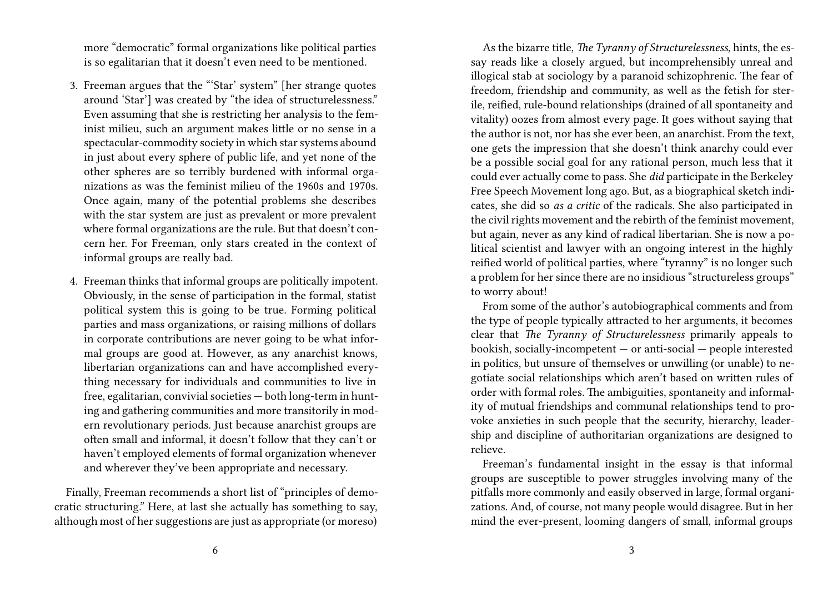more "democratic" formal organizations like political parties is so egalitarian that it doesn't even need to be mentioned.

- 3. Freeman argues that the "'Star' system" [her strange quotes around 'Star'] was created by "the idea of structurelessness." Even assuming that she is restricting her analysis to the feminist milieu, such an argument makes little or no sense in a spectacular-commodity society in which star systems abound in just about every sphere of public life, and yet none of the other spheres are so terribly burdened with informal organizations as was the feminist milieu of the 1960s and 1970s. Once again, many of the potential problems she describes with the star system are just as prevalent or more prevalent where formal organizations are the rule. But that doesn't concern her. For Freeman, only stars created in the context of informal groups are really bad.
- 4. Freeman thinks that informal groups are politically impotent. Obviously, in the sense of participation in the formal, statist political system this is going to be true. Forming political parties and mass organizations, or raising millions of dollars in corporate contributions are never going to be what informal groups are good at. However, as any anarchist knows, libertarian organizations can and have accomplished everything necessary for individuals and communities to live in free, egalitarian, convivial societies — both long-term in hunting and gathering communities and more transitorily in modern revolutionary periods. Just because anarchist groups are often small and informal, it doesn't follow that they can't or haven't employed elements of formal organization whenever and wherever they've been appropriate and necessary.

Finally, Freeman recommends a short list of "principles of democratic structuring." Here, at last she actually has something to say, although most of her suggestions are just as appropriate (or moreso)

As the bizarre title, *The Tyranny of Structurelessness*, hints, the essay reads like a closely argued, but incomprehensibly unreal and illogical stab at sociology by a paranoid schizophrenic. The fear of freedom, friendship and community, as well as the fetish for sterile, reified, rule-bound relationships (drained of all spontaneity and vitality) oozes from almost every page. It goes without saying that the author is not, nor has she ever been, an anarchist. From the text, one gets the impression that she doesn't think anarchy could ever be a possible social goal for any rational person, much less that it could ever actually come to pass. She *did* participate in the Berkeley Free Speech Movement long ago. But, as a biographical sketch indicates, she did so *as a critic* of the radicals. She also participated in the civil rights movement and the rebirth of the feminist movement, but again, never as any kind of radical libertarian. She is now a political scientist and lawyer with an ongoing interest in the highly reified world of political parties, where "tyranny" is no longer such a problem for her since there are no insidious "structureless groups" to worry about!

From some of the author's autobiographical comments and from the type of people typically attracted to her arguments, it becomes clear that *The Tyranny of Structurelessness* primarily appeals to bookish, socially-incompetent — or anti-social — people interested in politics, but unsure of themselves or unwilling (or unable) to negotiate social relationships which aren't based on written rules of order with formal roles. The ambiguities, spontaneity and informality of mutual friendships and communal relationships tend to provoke anxieties in such people that the security, hierarchy, leadership and discipline of authoritarian organizations are designed to relieve.

Freeman's fundamental insight in the essay is that informal groups are susceptible to power struggles involving many of the pitfalls more commonly and easily observed in large, formal organizations. And, of course, not many people would disagree. But in her mind the ever-present, looming dangers of small, informal groups